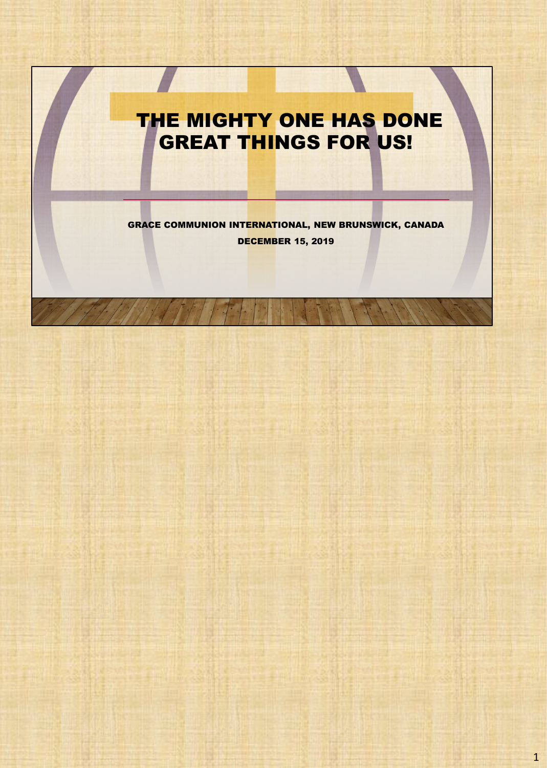## THE MIGHTY ONE HAS DONE GREAT THINGS FOR US!

GRACE COMMUNION INTERNATIONAL, NEW BRUNSWICK, CANADA DECEMBER 15, 2019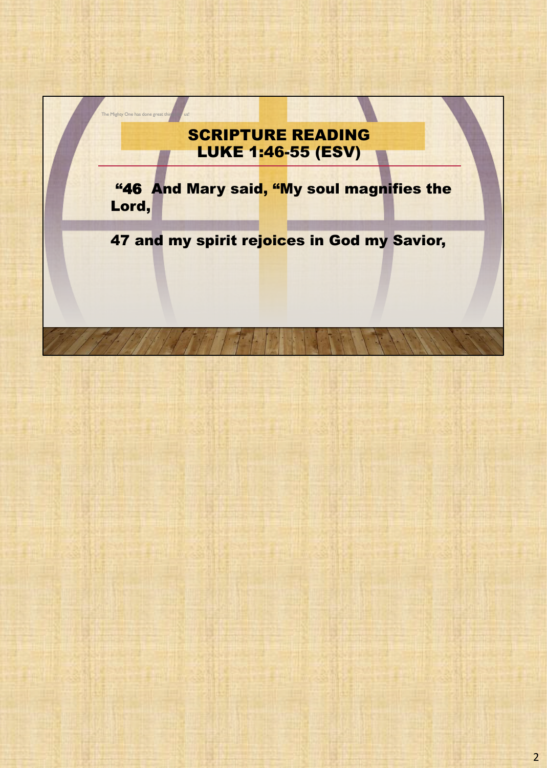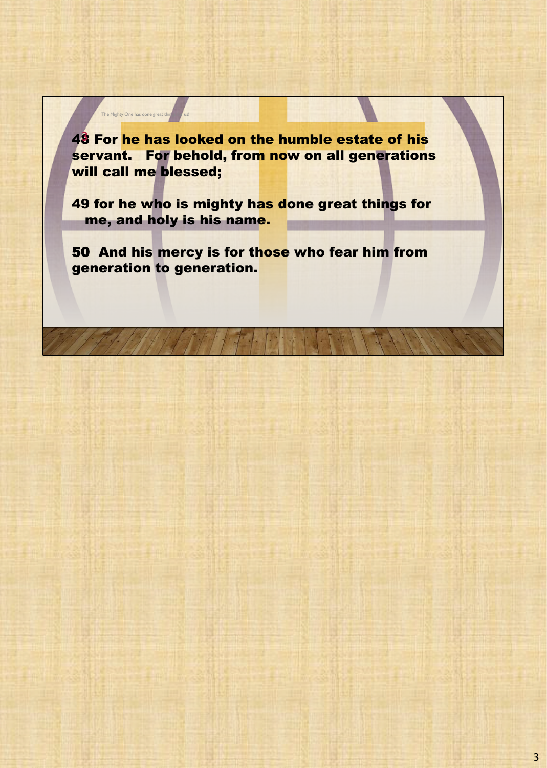48 For he has looked on the humble estate of his servant. For behold, from now on all generations will call me blessed;

The Mighty One has done great things  $\begin{array}{|c|c|}\n\hline\n\end{array}$ 

49 for he who is mighty has done great things for me, and holy is his name.

50 And his mercy is for those who fear him from generation to generation.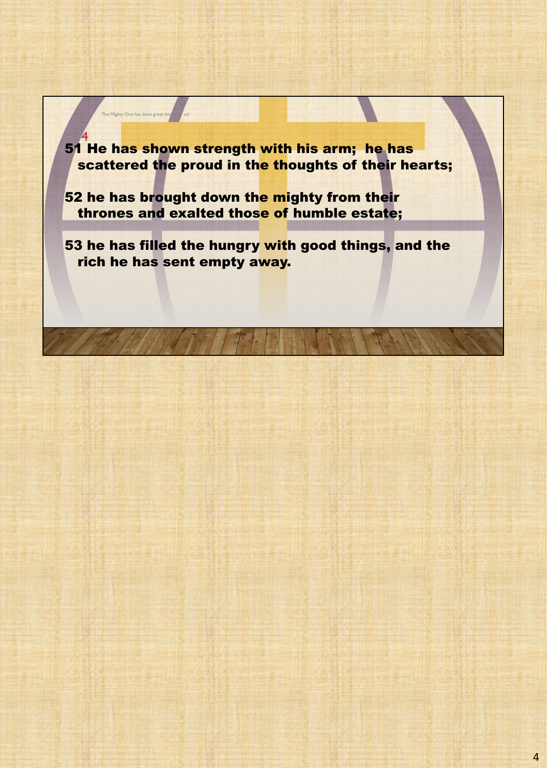51 He has shown strength with his arm; he has scattered the proud in the thoughts of their hearts; 4

52 he has brought down the mighty from their thrones and exalted those of humble estate;

The Mighty One has done great thi

53 he has filled the hungry with good things, and the rich he has sent empty away.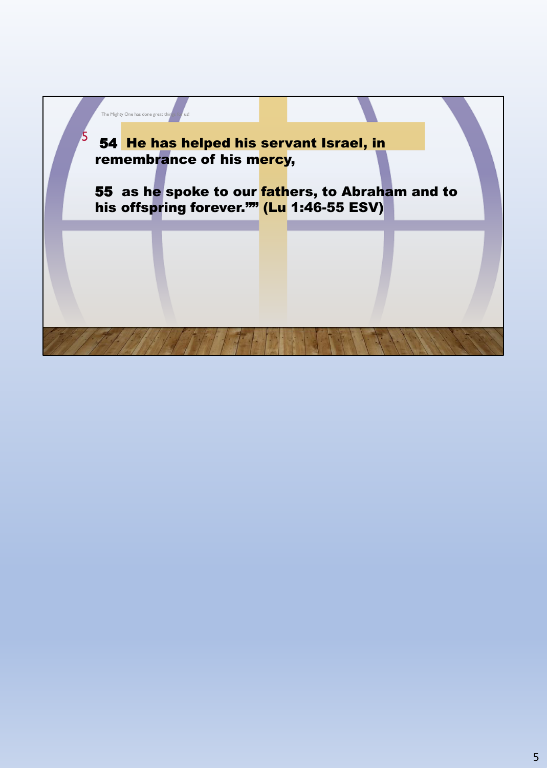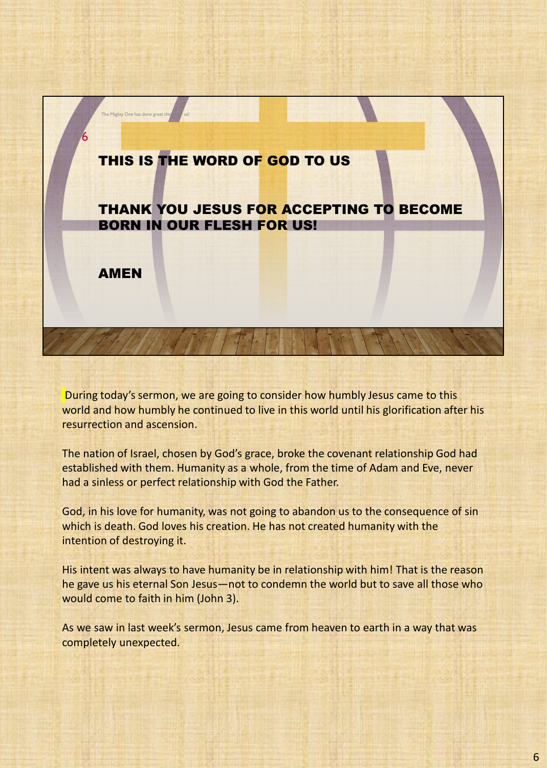

During today's sermon, we are going to consider how humbly Jesus came to this world and how humbly he continued to live in this world until his glorification after his resurrection and ascension.

The nation of Israel, chosen by God's grace, broke the covenant relationship God had established with them. Humanity as a whole, from the time of Adam and Eve, never had a sinless or perfect relationship with God the Father.

God, in his love for humanity, was not going to abandon us to the consequence of sin which is death. God loves his creation. He has not created humanity with the intention of destroying it.

His intent was always to have humanity be in relationship with him! That is the reason he gave us his eternal Son Jesus—not to condemn the world but to save all those who would come to faith in him (John 3).

As we saw in last week's sermon, Jesus came from heaven to earth in a way that was completely unexpected.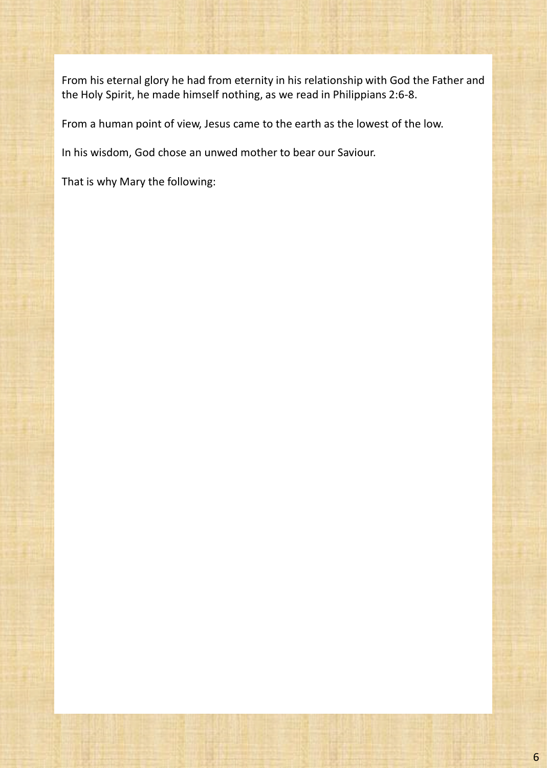From his eternal glory he had from eternity in his relationship with God the Father and the Holy Spirit, he made himself nothing, as we read in Philippians 2:6-8.

From a human point of view, Jesus came to the earth as the lowest of the low.

In his wisdom, God chose an unwed mother to bear our Saviour.

That is why Mary the following: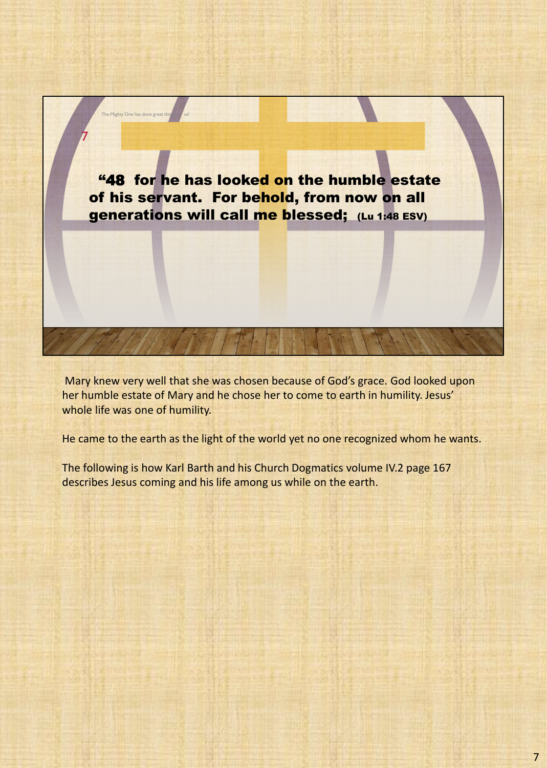

Mary knew very well that she was chosen because of God's grace. God looked upon her humble estate of Mary and he chose her to come to earth in humility. Jesus' whole life was one of humility.

He came to the earth as the light of the world yet no one recognized whom he wants.

The following is how Karl Barth and his Church Dogmatics volume IV.2 page 167 describes Jesus coming and his life among us while on the earth.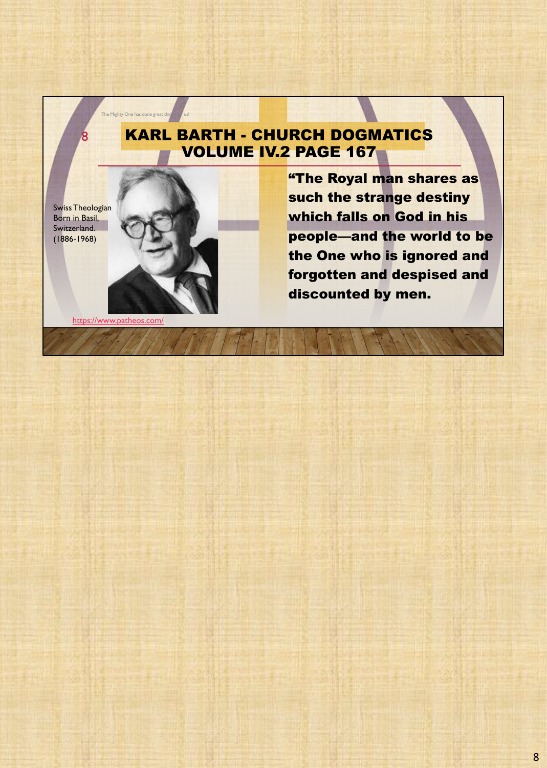## KARL BARTH - CHURCH DOGMATICS VOLUME IV.2 PAGE 167

Swiss Theologian Born in Basil, Switzerland. (1886-1968)

8



The Mighty One has done great thin

"The Royal man shares as such the strange destiny which falls on God in his people—and the world to be the One who is ignored and forgotten and despised and discounted by men.

https://www.patheos.com/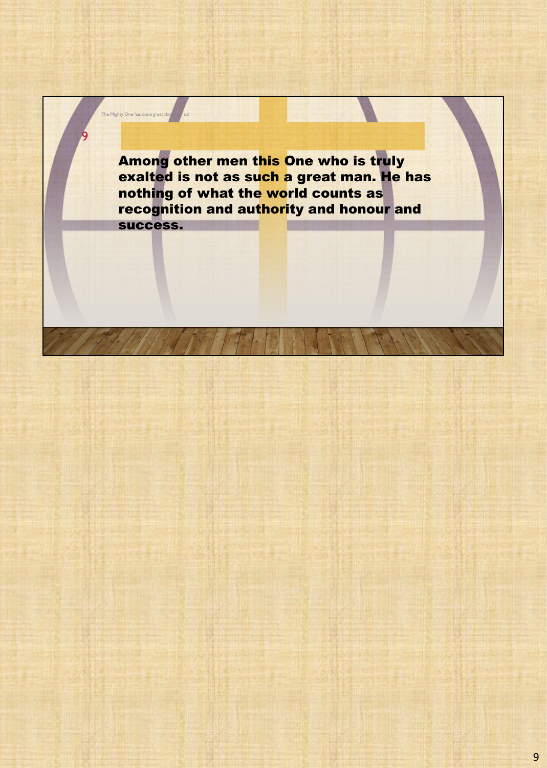Among other men this One who is truly exalted is not as such a great man. He has nothing of what the world counts as recognition and authority and honour and success.

The Mighty One has done great

9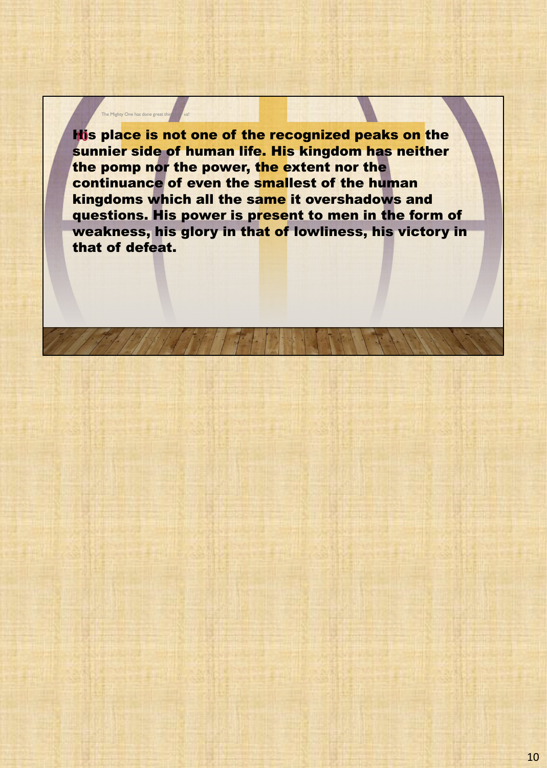His place is not one of the recognized peaks on the sunnier side of human life. His kingdom has neither the pomp nor the power, the extent nor the continuance of even the smallest of the human kingdoms which all the same it overshadows and questions. His power is present to men in the form of weakness, his glory in that of lowliness, his victory in that of defeat.

The Mighty One has done great thing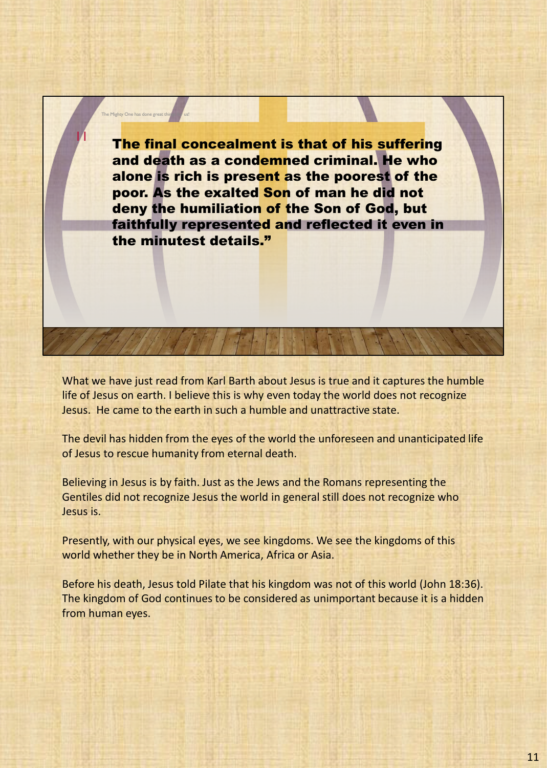The final concealment is that of his suffering and death as a condemned criminal. He who alone is rich is present as the poorest of the poor. As the exalted Son of man he did not deny the humiliation of the Son of God, but faithfully represented and reflected it even in the minutest details."

The Mighty One has done great th

11

What we have just read from Karl Barth about Jesus is true and it captures the humble life of Jesus on earth. I believe this is why even today the world does not recognize Jesus. He came to the earth in such a humble and unattractive state.

The devil has hidden from the eyes of the world the unforeseen and unanticipated life of Jesus to rescue humanity from eternal death.

Believing in Jesus is by faith. Just as the Jews and the Romans representing the Gentiles did not recognize Jesus the world in general still does not recognize who Jesus is.

Presently, with our physical eyes, we see kingdoms. We see the kingdoms of this world whether they be in North America, Africa or Asia.

Before his death, Jesus told Pilate that his kingdom was not of this world (John 18:36). The kingdom of God continues to be considered as unimportant because it is a hidden from human eyes.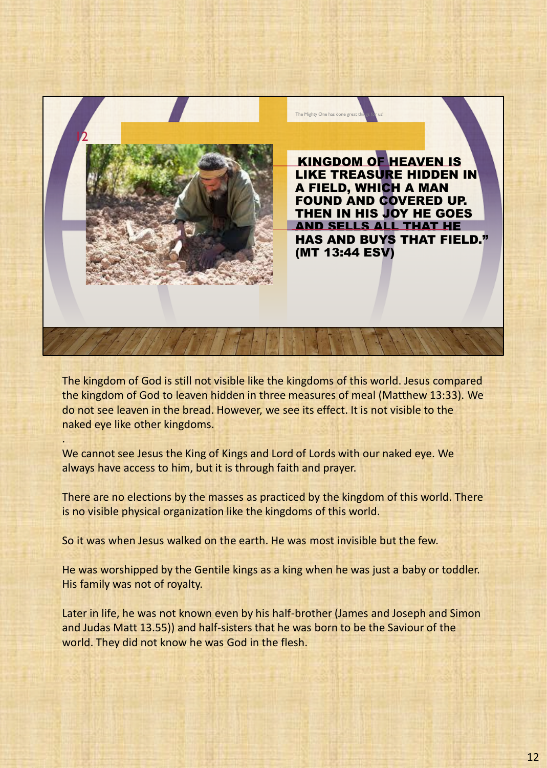

The kingdom of God is still not visible like the kingdoms of this world. Jesus compared the kingdom of God to leaven hidden in three measures of meal (Matthew 13:33). We do not see leaven in the bread. However, we see its effect. It is not visible to the naked eye like other kingdoms.

We cannot see Jesus the King of Kings and Lord of Lords with our naked eye. We always have access to him, but it is through faith and prayer.

.

There are no elections by the masses as practiced by the kingdom of this world. There is no visible physical organization like the kingdoms of this world.

So it was when Jesus walked on the earth. He was most invisible but the few.

He was worshipped by the Gentile kings as a king when he was just a baby or toddler. His family was not of royalty.

Later in life, he was not known even by his half-brother (James and Joseph and Simon and Judas Matt 13.55)) and half-sisters that he was born to be the Saviour of the world. They did not know he was God in the flesh.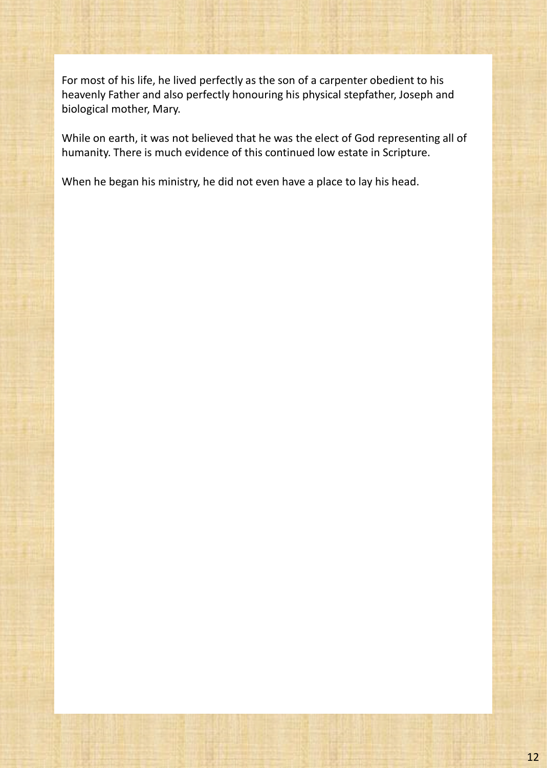For most of his life, he lived perfectly as the son of a carpenter obedient to his heavenly Father and also perfectly honouring his physical stepfather, Joseph and biological mother, Mary.

While on earth, it was not believed that he was the elect of God representing all of humanity. There is much evidence of this continued low estate in Scripture.

When he began his ministry, he did not even have a place to lay his head.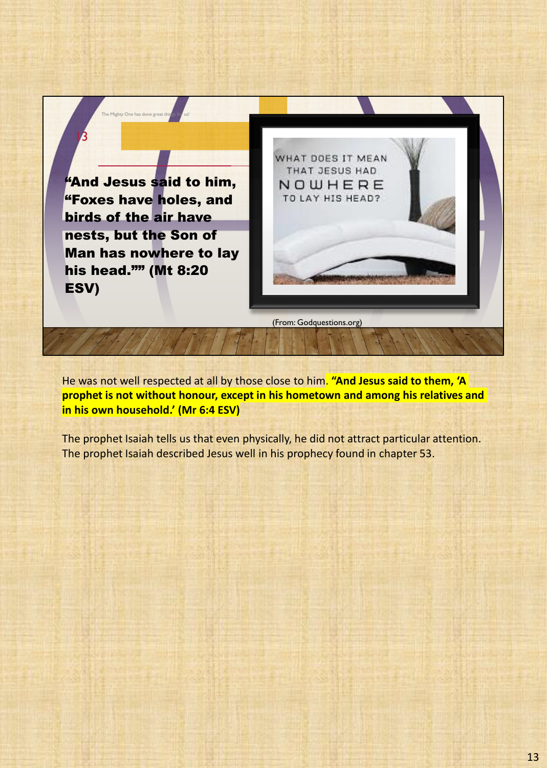"And Jesus said to him, "Foxes have holes, and birds of the air have nests, but the Son of Man has nowhere to lay his head."" (Mt 8:20 ESV)

The Mighty One has done great things for us!

13



(From: Godquestions.org)

He was not well respected at all by those close to him. **"And Jesus said to them, 'A prophet is not without honour, except in his hometown and among his relatives and in his own household.' (Mr 6:4 ESV)**

The prophet Isaiah tells us that even physically, he did not attract particular attention. The prophet Isaiah described Jesus well in his prophecy found in chapter 53.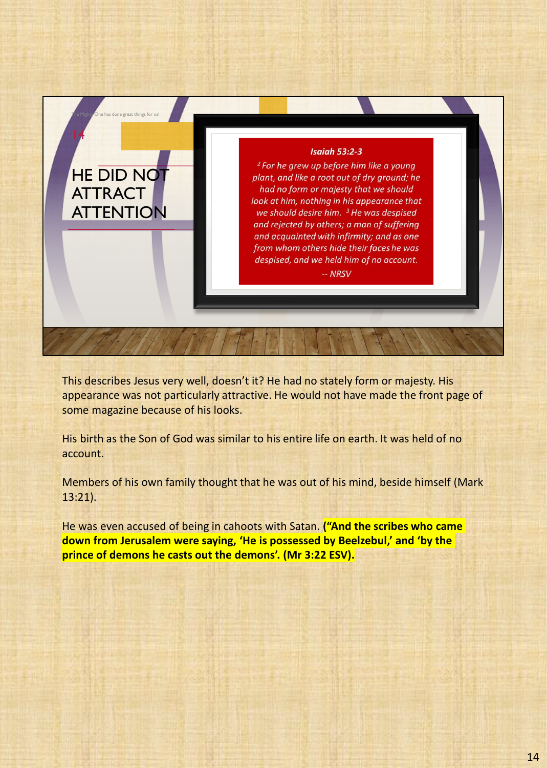

This describes Jesus very well, doesn't it? He had no stately form or majesty. His appearance was not particularly attractive. He would not have made the front page of some magazine because of his looks.

His birth as the Son of God was similar to his entire life on earth. It was held of no account.

Members of his own family thought that he was out of his mind, beside himself (Mark 13:21).

He was even accused of being in cahoots with Satan. **("And the scribes who came down from Jerusalem were saying, 'He is possessed by Beelzebul,' and 'by the prince of demons he casts out the demons'. (Mr 3:22 ESV).**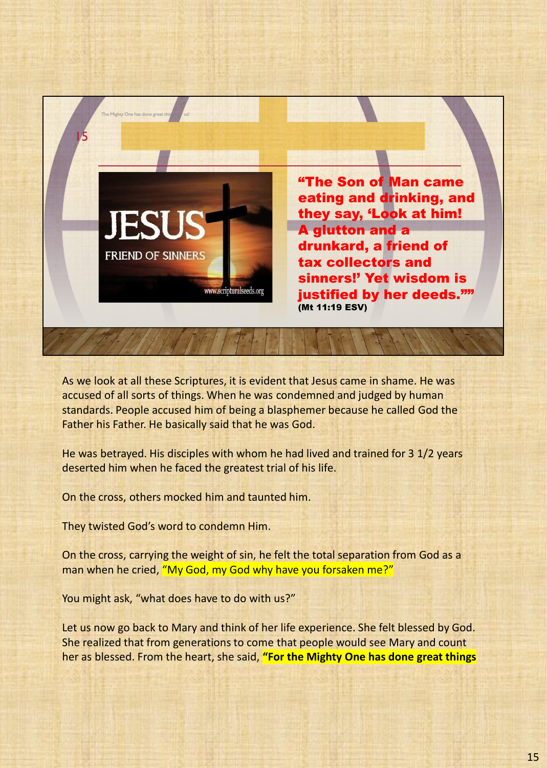

As we look at all these Scriptures, it is evident that Jesus came in shame. He was accused of all sorts of things. When he was condemned and judged by human standards. People accused him of being a blasphemer because he called God the Father his Father. He basically said that he was God.

He was betrayed. His disciples with whom he had lived and trained for 3 1/2 years deserted him when he faced the greatest trial of his life.

On the cross, others mocked him and taunted him.

They twisted God's word to condemn Him.

On the cross, carrying the weight of sin, he felt the total separation from God as a man when he cried, "My God, my God why have you forsaken me?"

You might ask, "what does have to do with us?"

Let us now go back to Mary and think of her life experience. She felt blessed by God. She realized that from generations to come that people would see Mary and count her as blessed. From the heart, she said, **"For the Mighty One has done great things**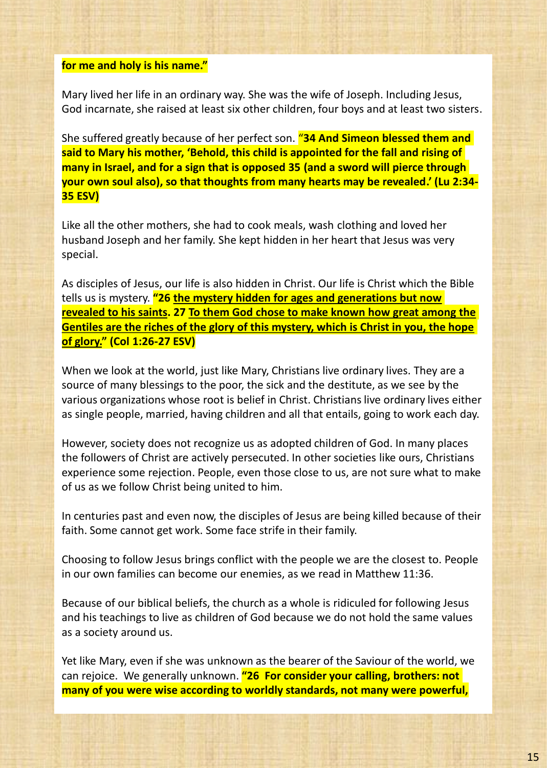## **for me and holy is his name."**

Mary lived her life in an ordinary way. She was the wife of Joseph. Including Jesus, God incarnate, she raised at least six other children, four boys and at least two sisters.

She suffered greatly because of her perfect son. "**34 And Simeon blessed them and said to Mary his mother, 'Behold, this child is appointed for the fall and rising of many in Israel, and for a sign that is opposed 35 (and a sword will pierce through your own soul also), so that thoughts from many hearts may be revealed.' (Lu 2:34- 35 ESV)**

Like all the other mothers, she had to cook meals, wash clothing and loved her husband Joseph and her family. She kept hidden in her heart that Jesus was very special.

As disciples of Jesus, our life is also hidden in Christ. Our life is Christ which the Bible tells us is mystery. **"26 the mystery hidden for ages and generations but now revealed to his saints. 27 To them God chose to make known how great among the Gentiles are the riches of the glory of this mystery, which is Christ in you, the hope of glory." (Col 1:26-27 ESV)**

When we look at the world, just like Mary, Christians live ordinary lives. They are a source of many blessings to the poor, the sick and the destitute, as we see by the various organizations whose root is belief in Christ. Christians live ordinary lives either as single people, married, having children and all that entails, going to work each day.

However, society does not recognize us as adopted children of God. In many places the followers of Christ are actively persecuted. In other societies like ours, Christians experience some rejection. People, even those close to us, are not sure what to make of us as we follow Christ being united to him.

In centuries past and even now, the disciples of Jesus are being killed because of their faith. Some cannot get work. Some face strife in their family.

Choosing to follow Jesus brings conflict with the people we are the closest to. People in our own families can become our enemies, as we read in Matthew 11:36.

Because of our biblical beliefs, the church as a whole is ridiculed for following Jesus and his teachings to live as children of God because we do not hold the same values as a society around us.

Yet like Mary, even if she was unknown as the bearer of the Saviour of the world, we can rejoice. We generally unknown. **"26 For consider your calling, brothers: not many of you were wise according to worldly standards, not many were powerful,**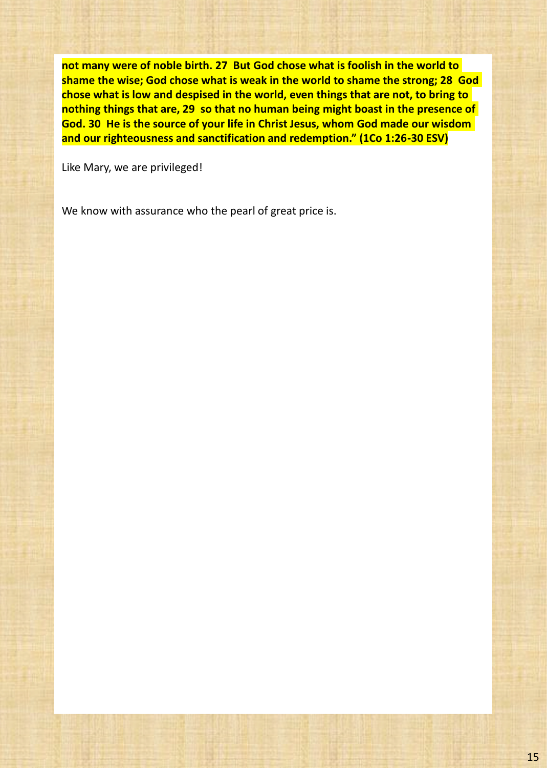**not many were of noble birth. 27 But God chose what is foolish in the world to shame the wise; God chose what is weak in the world to shame the strong; 28 God chose what is low and despised in the world, even things that are not, to bring to nothing things that are, 29 so that no human being might boast in the presence of God. 30 He is the source of your life in Christ Jesus, whom God made our wisdom and our righteousness and sanctification and redemption." (1Co 1:26-30 ESV)**

Like Mary, we are privileged!

We know with assurance who the pearl of great price is.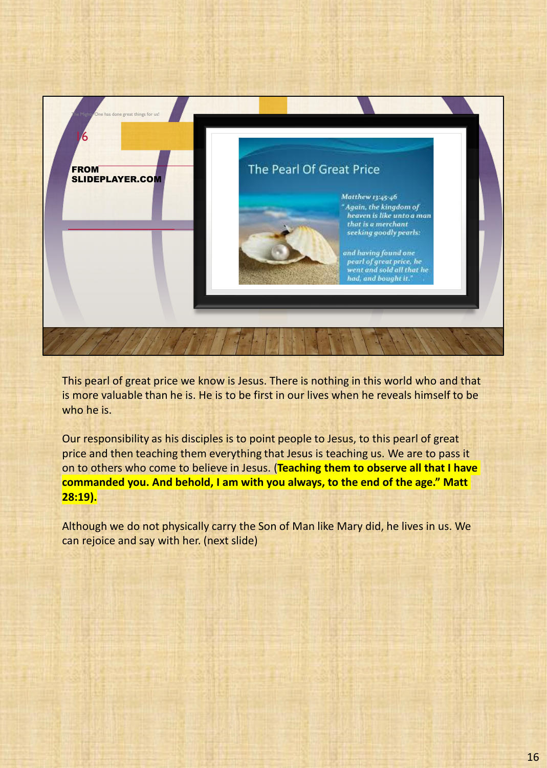

This pearl of great price we know is Jesus. There is nothing in this world who and that is more valuable than he is. He is to be first in our lives when he reveals himself to be who he is.

Our responsibility as his disciples is to point people to Jesus, to this pearl of great price and then teaching them everything that Jesus is teaching us. We are to pass it on to others who come to believe in Jesus. (**Teaching them to observe all that I have commanded you. And behold, I am with you always, to the end of the age." Matt 28:19).**

Although we do not physically carry the Son of Man like Mary did, he lives in us. We can rejoice and say with her. (next slide)